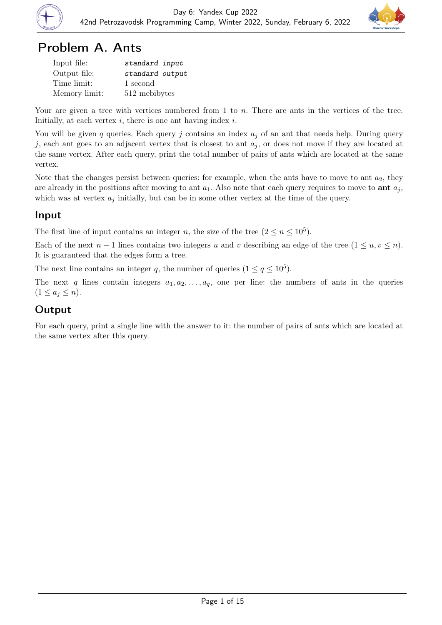

# Problem A. Ants

| Input file:   | standard input  |
|---------------|-----------------|
| Output file:  | standard output |
| Time limit:   | 1 second        |
| Memory limit: | 512 mebibytes   |

Your are given a tree with vertices numbered from 1 to n. There are ants in the vertices of the tree. Initially, at each vertex  $i$ , there is one ant having index  $i$ .

You will be given q queries. Each query j contains an index  $a_i$  of an ant that needs help. During query j, each ant goes to an adjacent vertex that is closest to ant  $a_j$ , or does not move if they are located at the same vertex. After each query, print the total number of pairs of ants which are located at the same vertex.

Note that the changes persist between queries: for example, when the ants have to move to ant  $a_2$ , they are already in the positions after moving to ant  $a_1$ . Also note that each query requires to move to **ant**  $a_j$ , which was at vertex  $a_j$  initially, but can be in some other vertex at the time of the query.

### Input

The first line of input contains an integer n, the size of the tree  $(2 \le n \le 10^5)$ .

Each of the next  $n-1$  lines contains two integers u and v describing an edge of the tree  $(1 \le u, v \le n)$ . It is guaranteed that the edges form a tree.

The next line contains an integer q, the number of queries  $(1 \le q \le 10^5)$ .

The next q lines contain integers  $a_1, a_2, \ldots, a_q$ , one per line: the numbers of ants in the queries  $(1 \leq a_j \leq n).$ 

## **Output**

For each query, print a single line with the answer to it: the number of pairs of ants which are located at the same vertex after this query.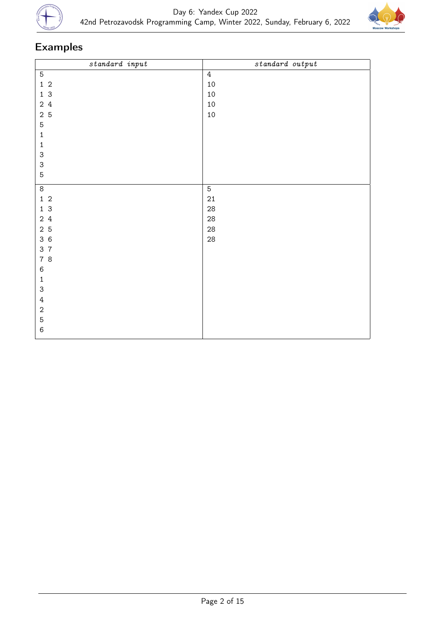



| $\label{eq:standard} standard \ \ input$ | $standard$ $output$ |
|------------------------------------------|---------------------|
| $\mathbf 5$                              | $\overline{4}$      |
| $1\,$ 2                                  | $10\,$              |
| 1 <sub>3</sub>                           | $10\,$              |
| 2 4                                      | $10\,$              |
| 2 <sub>5</sub>                           | $10\,$              |
| 5                                        |                     |
| $\mathbf 1$                              |                     |
| $\mathbf 1$                              |                     |
| $\ensuremath{\mathsf{3}}$                |                     |
| $\ensuremath{\mathsf{3}}$                |                     |
| $\mathbf 5$                              |                     |
| $\,8\,$                                  | $\sqrt{5}$          |
| $1\,$ 2                                  | $21\,$              |
| $1\overline{3}$                          | $28\,$              |
| $2\,4$                                   | $28\,$              |
| 2 <sub>5</sub>                           | $28\,$              |
| 36                                       | $28\,$              |
| 3 7                                      |                     |
| 7 8                                      |                     |
| $\,6\,$                                  |                     |
| $\mathbf 1$                              |                     |
| $\ensuremath{\mathsf{3}}$                |                     |
| $\sqrt{4}$                               |                     |
| $\,2$                                    |                     |
| 5                                        |                     |
| $\,6$                                    |                     |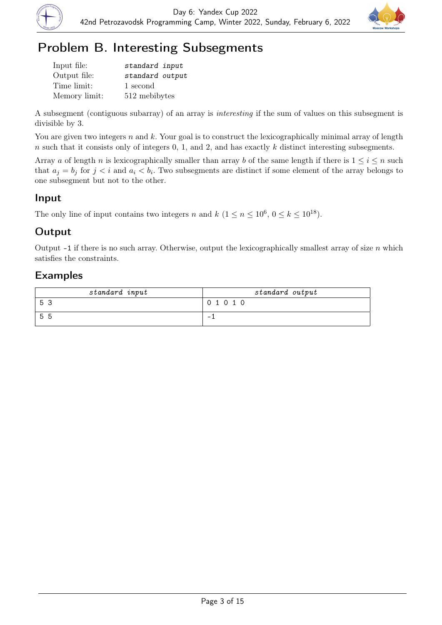



# Problem B. Interesting Subsegments

| Input file:   | standard input  |
|---------------|-----------------|
| Output file:  | standard output |
| Time limit:   | 1 second        |
| Memory limit: | 512 mebibytes   |

A subsegment (contiguous subarray) of an array is interesting if the sum of values on this subsegment is divisible by 3.

You are given two integers n and k. Your goal is to construct the lexicographically minimal array of length n such that it consists only of integers  $0, 1$ , and  $2$ , and has exactly k distinct interesting subsegments.

Array a of length n is lexicographically smaller than array b of the same length if there is  $1 \leq i \leq n$  such that  $a_j = b_j$  for  $j < i$  and  $a_i < b_i$ . Two subsegments are distinct if some element of the array belongs to one subsegment but not to the other.

## Input

The only line of input contains two integers n and  $k$   $(1 \le n \le 10^6, 0 \le k \le 10^{18})$ .

# **Output**

Output  $-1$  if there is no such array. Otherwise, output the lexicographically smallest array of size n which satisfies the constraints.

| standard input | standard output |
|----------------|-----------------|
| -5             | 0 1 0 1 0       |
| -5<br>.n       | -               |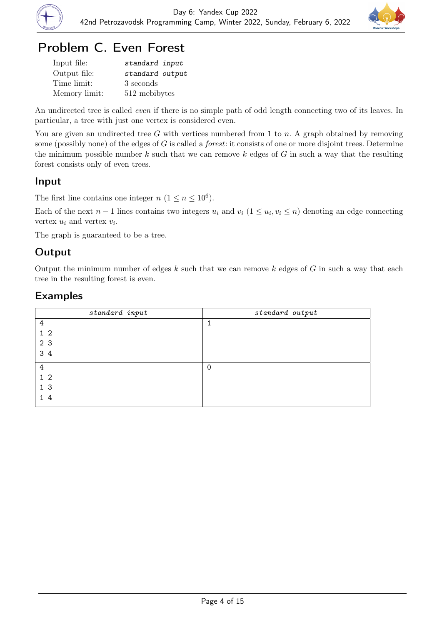



# Problem C. Even Forest

| Input file:   | standard input  |
|---------------|-----------------|
| Output file:  | standard output |
| Time limit:   | 3 seconds       |
| Memory limit: | 512 mebibytes   |

An undirected tree is called even if there is no simple path of odd length connecting two of its leaves. In particular, a tree with just one vertex is considered even.

You are given an undirected tree G with vertices numbered from 1 to n. A graph obtained by removing some (possibly none) of the edges of  $G$  is called a *forest*: it consists of one or more disjoint trees. Determine the minimum possible number  $k$  such that we can remove  $k$  edges of  $G$  in such a way that the resulting forest consists only of even trees.

### Input

The first line contains one integer  $n (1 \le n \le 10^6)$ .

Each of the next  $n-1$  lines contains two integers  $u_i$  and  $v_i$   $(1 \le u_i, v_i \le n)$  denoting an edge connecting vertex  $u_i$  and vertex  $v_i$ .

The graph is guaranteed to be a tree.

## **Output**

Output the minimum number of edges  $k$  such that we can remove  $k$  edges of  $G$  in such a way that each tree in the resulting forest is even.

| standard input | standard output |
|----------------|-----------------|
| 4              |                 |
| 1 <sub>2</sub> |                 |
| 2 3            |                 |
| 3 4            |                 |
| 4              | $\Omega$        |
| 1 <sub>2</sub> |                 |
| 1 <sub>3</sub> |                 |
| 14             |                 |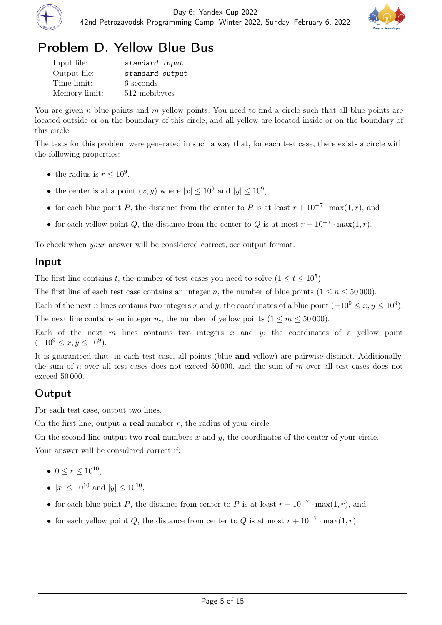



# Problem D. Yellow Blue Bus

| Input file:   | standard input  |
|---------------|-----------------|
| Output file:  | standard output |
| Time limit:   | 6 seconds       |
| Memory limit: | 512 mebibytes   |

You are given n blue points and m yellow points. You need to find a circle such that all blue points are located outside or on the boundary of this circle, and all yellow are located inside or on the boundary of this circle.

The tests for this problem were generated in such a way that, for each test case, there exists a circle with the following properties:

- the radius is  $r \leq 10^9$ ,
- the center is at a point  $(x, y)$  where  $|x| \leq 10^9$  and  $|y| \leq 10^9$ ,
- for each blue point P, the distance from the center to P is at least  $r + 10^{-7} \cdot \max(1, r)$ , and
- for each yellow point Q, the distance from the center to Q is at most  $r 10^{-7} \cdot \max(1, r)$ .

To check when your answer will be considered correct, see output format.

#### Input

The first line contains t, the number of test cases you need to solve  $(1 \le t \le 10^5)$ .

The first line of each test case contains an integer n, the number of blue points  $(1 \le n \le 50000)$ .

Each of the next n lines contains two integers x and y: the coordinates of a blue point  $(-10^9 \le x, y \le 10^9)$ .

The next line contains an integer m, the number of yellow points  $(1 \le m \le 50000)$ .

Each of the next  $m$  lines contains two integers  $x$  and  $y$ : the coordinates of a yellow point  $(-10^9 \le x, y \le 10^9).$ 

It is guaranteed that, in each test case, all points (blue and yellow) are pairwise distinct. Additionally, the sum of n over all test cases does not exceed 50 000, and the sum of m over all test cases does not exceed 50 000.

## **Output**

For each test case, output two lines.

On the first line, output a **real** number  $r$ , the radius of your circle.

On the second line output two **real** numbers x and y, the coordinates of the center of your circle.

Your answer will be considered correct if:

- $0 \le r \le 10^{10}$ ,
- $|x| \leq 10^{10}$  and  $|y| \leq 10^{10}$ ,
- for each blue point P, the distance from center to P is at least  $r 10^{-7} \cdot \max(1, r)$ , and
- for each yellow point Q, the distance from center to Q is at most  $r + 10^{-7} \cdot \max(1, r)$ .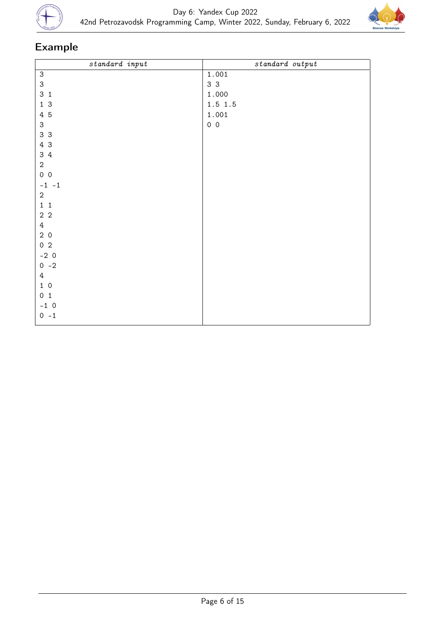



| $\label{eq:standard} standard \ \ input$ | $standard\ output$ |
|------------------------------------------|--------------------|
| $\ensuremath{\mathsf{3}}$                | 1.001              |
| $\mathsf 3$                              | 3 <sub>3</sub>     |
| 3 <sub>1</sub>                           | 1.000              |
| 13                                       | $1.5$ 1.5          |
| 4 5                                      | 1.001              |
| 3                                        | $0\quad 0$         |
| 3 3                                      |                    |
| 4 3                                      |                    |
| $3\quad 4$                               |                    |
| $\overline{2}$                           |                    |
| $0\quad 0$                               |                    |
| $-1 -1$                                  |                    |
| $\overline{2}$                           |                    |
| $1\quad 1$                               |                    |
| $2\,$ $2\,$                              |                    |
| $\overline{4}$                           |                    |
| 20                                       |                    |
| $0\quad2$                                |                    |
| $-2 \ 0$                                 |                    |
| $0 -2$                                   |                    |
| $\overline{4}$                           |                    |
| $1\,$ 0                                  |                    |
| 0 <sub>1</sub>                           |                    |
| $-1$ 0                                   |                    |
| $0 - 1$                                  |                    |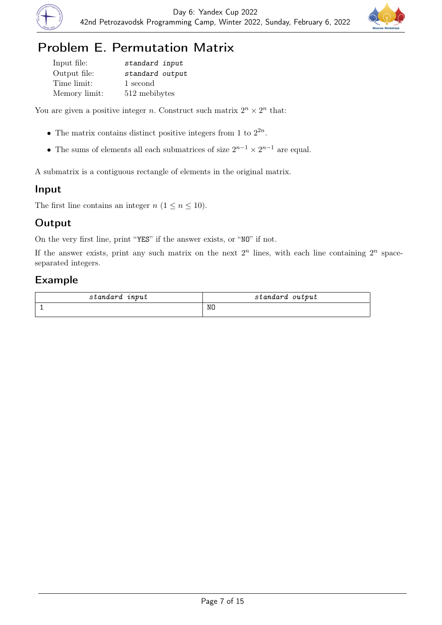



# Problem E. Permutation Matrix

Input file: standard input Output file: standard output Time limit: 1 second Memory limit: 512 mebibytes

You are given a positive integer *n*. Construct such matrix  $2^n \times 2^n$  that:

- The matrix contains distinct positive integers from 1 to  $2^{2n}$ .
- The sums of elements all each submatrices of size  $2^{n-1} \times 2^{n-1}$  are equal.

A submatrix is a contiguous rectangle of elements in the original matrix.

## Input

The first line contains an integer  $n (1 \le n \le 10)$ .

## **Output**

On the very first line, print "YES" if the answer exists, or "NO" if not.

If the answer exists, print any such matrix on the next  $2^n$  lines, with each line containing  $2^n$  spaceseparated integers.

| input    | output   |
|----------|----------|
| standard | standard |
|          | NO       |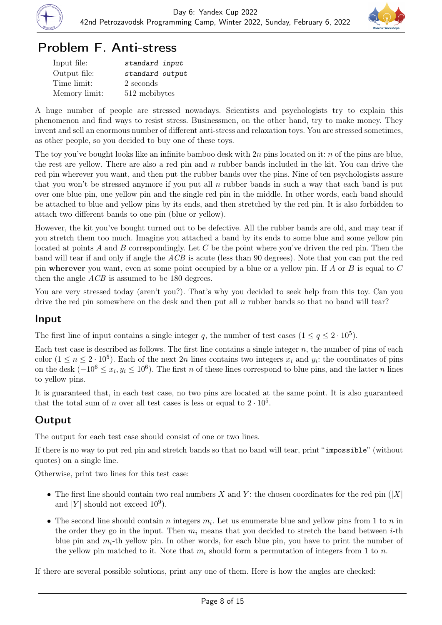

# Problem F. Anti-stress

| Input file:   | standard input  |
|---------------|-----------------|
| Output file:  | standard output |
| Time limit:   | 2 seconds       |
| Memory limit: | 512 mebibytes   |

A huge number of people are stressed nowadays. Scientists and psychologists try to explain this phenomenon and find ways to resist stress. Businessmen, on the other hand, try to make money. They invent and sell an enormous number of different anti-stress and relaxation toys. You are stressed sometimes, as other people, so you decided to buy one of these toys.

The toy you've bought looks like an infinite bamboo desk with  $2n$  pins located on it: n of the pins are blue, the rest are yellow. There are also a red pin and  $n$  rubber bands included in the kit. You can drive the red pin wherever you want, and then put the rubber bands over the pins. Nine of ten psychologists assure that you won't be stressed anymore if you put all n rubber bands in such a way that each band is put over one blue pin, one yellow pin and the single red pin in the middle. In other words, each band should be attached to blue and yellow pins by its ends, and then stretched by the red pin. It is also forbidden to attach two different bands to one pin (blue or yellow).

However, the kit you've bought turned out to be defective. All the rubber bands are old, and may tear if you stretch them too much. Imagine you attached a band by its ends to some blue and some yellow pin located at points A and B correspondingly. Let C be the point where you've driven the red pin. Then the band will tear if and only if angle the ACB is acute (less than 90 degrees). Note that you can put the red pin wherever you want, even at some point occupied by a blue or a yellow pin. If A or B is equal to  $C$ then the angle *ACB* is assumed to be 180 degrees.

You are very stressed today (aren't you?). That's why you decided to seek help from this toy. Can you drive the red pin somewhere on the desk and then put all  $n$  rubber bands so that no band will tear?

### Input

The first line of input contains a single integer q, the number of test cases  $(1 \leq q \leq 2 \cdot 10^5)$ .

Each test case is described as follows. The first line contains a single integer  $n$ , the number of pins of each color  $(1 \le n \le 2 \cdot 10^5)$ . Each of the next 2n lines contains two integers  $x_i$  and  $y_i$ : the coordinates of pins on the desk  $(-10^6 \le x_i, y_i \le 10^6)$ . The first n of these lines correspond to blue pins, and the latter n lines to yellow pins.

It is guaranteed that, in each test case, no two pins are located at the same point. It is also guaranteed that the total sum of n over all test cases is less or equal to  $2 \cdot 10^5$ .

# **Output**

The output for each test case should consist of one or two lines.

If there is no way to put red pin and stretch bands so that no band will tear, print "impossible" (without quotes) on a single line.

Otherwise, print two lines for this test case:

- The first line should contain two real numbers X and Y; the chosen coordinates for the red pin  $(|X|)$ and |Y| should not exceed  $10^9$ ).
- The second line should contain n integers  $m_i$ . Let us enumerate blue and yellow pins from 1 to n in the order they go in the input. Then  $m_i$  means that you decided to stretch the band between *i*-th blue pin and  $m_i$ -th yellow pin. In other words, for each blue pin, you have to print the number of the yellow pin matched to it. Note that  $m_i$  should form a permutation of integers from 1 to n.

If there are several possible solutions, print any one of them. Here is how the angles are checked: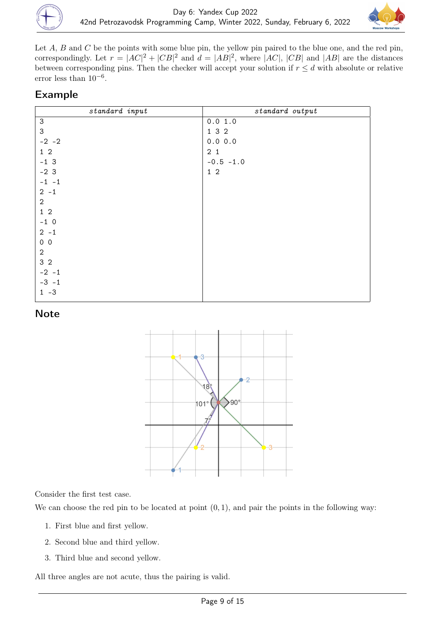



Let  $A$ ,  $B$  and  $C$  be the points with some blue pin, the yellow pin paired to the blue one, and the red pin, correspondingly. Let  $r = |AC|^2 + |CB|^2$  and  $d = |AB|^2$ , where  $|AC|$ ,  $|CB|$  and  $|AB|$  are the distances between corresponding pins. Then the checker will accept your solution if  $r \leq d$  with absolute or relative error less than  $10^{-6}$ .

### Example

| standard input            | standard output |
|---------------------------|-----------------|
| $\ensuremath{\mathsf{3}}$ | 0.0 1.0         |
| 3                         | 1 3 2           |
| $-2 -2$                   | 0.0 0.0         |
| $1\quad2$                 | 2 <sub>1</sub>  |
| $-13$                     | $-0.5 -1.0$     |
| $-23$                     | $1\quad2$       |
| $-1$ $-1$                 |                 |
| $2 - 1$                   |                 |
| $\sqrt{2}$                |                 |
| $1\quad2$                 |                 |
| $-1$ 0                    |                 |
| $2 - 1$                   |                 |
| $0\quad 0$                |                 |
| $\boldsymbol{2}$          |                 |
| 3 <sub>2</sub>            |                 |
| $-2 - 1$                  |                 |
| $-3 - 1$                  |                 |
| $1 - 3$                   |                 |

#### **Note**



Consider the first test case.

We can choose the red pin to be located at point  $(0, 1)$ , and pair the points in the following way:

- 1. First blue and first yellow.
- 2. Second blue and third yellow.
- 3. Third blue and second yellow.

All three angles are not acute, thus the pairing is valid.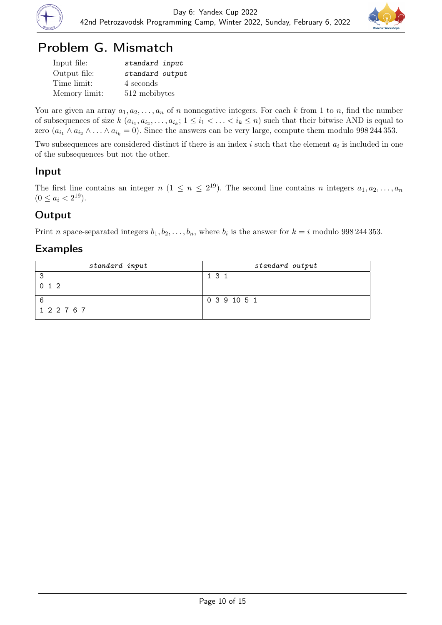



# Problem G. Mismatch

| Input file:   | standard input  |
|---------------|-----------------|
| Output file:  | standard output |
| Time limit:   | 4 seconds       |
| Memory limit: | 512 mebibytes   |

You are given an array  $a_1, a_2, \ldots, a_n$  of n nonnegative integers. For each k from 1 to n, find the number of subsequences of size  $k(a_{i_1}, a_{i_2}, \ldots, a_{i_k}; 1 \leq i_1 < \ldots < i_k \leq n)$  such that their bitwise AND is equal to zero  $(a_{i_1} \wedge a_{i_2} \wedge \ldots \wedge a_{i_k} = 0)$ . Since the answers can be very large, compute them modulo 998 244 353.

Two subsequences are considered distinct if there is an index  $i$  such that the element  $a_i$  is included in one of the subsequences but not the other.

### Input

The first line contains an integer  $n (1 \le n \le 2^{19})$ . The second line contains n integers  $a_1, a_2, \ldots, a_n$  $(0 \leq a_i < 2^{19}).$ 

## **Output**

Print *n* space-separated integers  $b_1, b_2, \ldots, b_n$ , where  $b_i$  is the answer for  $k = i$  modulo 998 244 353.

| standard input | standard output |
|----------------|-----------------|
| 3              | 1 3 1           |
| $0 \; 1 \; 2$  |                 |
| -6             | 0 3 9 10 5 1    |
| 1 2 2 7 6 7    |                 |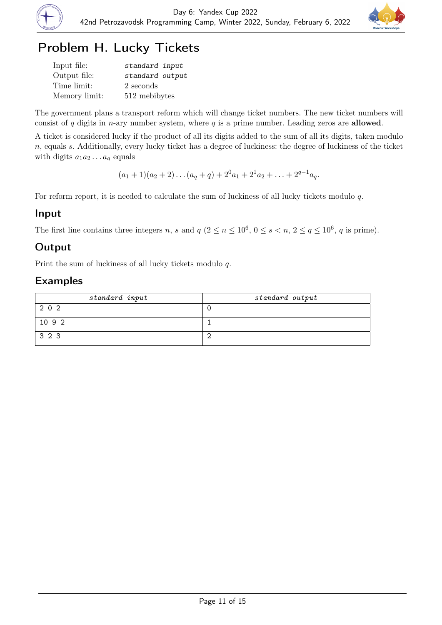



# Problem H. Lucky Tickets

| Input file:   | standard input  |
|---------------|-----------------|
| Output file:  | standard output |
| Time limit:   | 2 seconds       |
| Memory limit: | 512 mebibytes   |

The government plans a transport reform which will change ticket numbers. The new ticket numbers will consist of  $q$  digits in *n*-ary number system, where  $q$  is a prime number. Leading zeros are **allowed**.

A ticket is considered lucky if the product of all its digits added to the sum of all its digits, taken modulo n, equals s. Additionally, every lucky ticket has a degree of luckiness: the degree of luckiness of the ticket with digits  $a_1a_2 \ldots a_q$  equals

 $(a_1 + 1)(a_2 + 2) \ldots (a_q + q) + 2^0 a_1 + 2^1 a_2 + \ldots + 2^{q-1} a_q.$ 

For reform report, it is needed to calculate the sum of luckiness of all lucky tickets modulo q.

#### Input

The first line contains three integers n, s and  $q$   $(2 \le n \le 10^6, 0 \le s < n, 2 \le q \le 10^6, q$  is prime).

## Output

Print the sum of luckiness of all lucky tickets modulo q.

| standard input | standard output |
|----------------|-----------------|
| 202            |                 |
| 10 9 2         |                 |
| 3 2 3          |                 |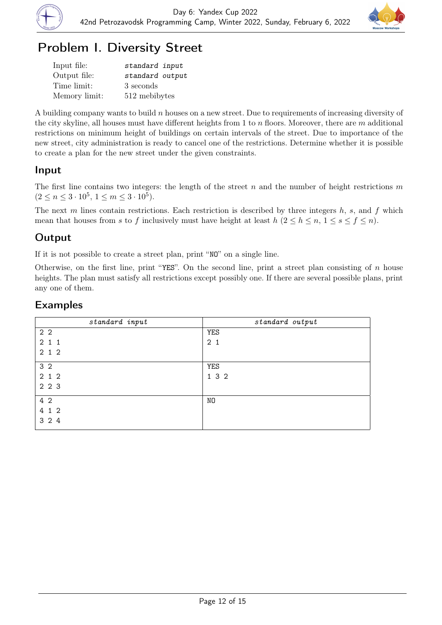

# Problem I. Diversity Street

| Input file:   | standard input  |
|---------------|-----------------|
| Output file:  | standard output |
| Time limit:   | 3 seconds       |
| Memory limit: | 512 mebibytes   |

A building company wants to build  $n$  houses on a new street. Due to requirements of increasing diversity of the city skyline, all houses must have different heights from 1 to  $n$  floors. Moreover, there are  $m$  additional restrictions on minimum height of buildings on certain intervals of the street. Due to importance of the new street, city administration is ready to cancel one of the restrictions. Determine whether it is possible to create a plan for the new street under the given constraints.

### Input

The first line contains two integers: the length of the street  $n$  and the number of height restrictions  $m$  $(2 \leq n \leq 3 \cdot 10^5, 1 \leq m \leq 3 \cdot 10^5).$ 

The next  $m$  lines contain restrictions. Each restriction is described by three integers  $h$ ,  $s$ , and  $f$  which mean that houses from s to f inclusively must have height at least  $h (2 \leq h \leq n, 1 \leq s \leq f \leq n)$ .

## **Output**

If it is not possible to create a street plan, print "NO" on a single line.

Otherwise, on the first line, print "YES". On the second line, print a street plan consisting of  $n$  house heights. The plan must satisfy all restrictions except possibly one. If there are several possible plans, print any one of them.

| standard input | standard output |
|----------------|-----------------|
| 2 <sub>2</sub> | <b>YES</b>      |
| 211            | 2 <sub>1</sub>  |
| 2 1 2          |                 |
| 3 <sub>2</sub> | YES             |
| 2 1 2          | 1 3 2           |
| 2 2 3          |                 |
| 4 2            | NO              |
| 4 1 2          |                 |
| 3 2 4          |                 |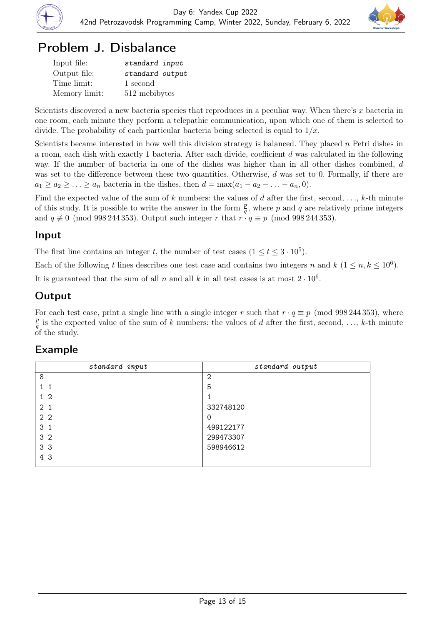



# Problem J. Disbalance

| Input file:   | standard input  |
|---------------|-----------------|
| Output file:  | standard output |
| Time limit:   | 1 second        |
| Memory limit: | 512 mebibytes   |

Scientists discovered a new bacteria species that reproduces in a peculiar way. When there's x bacteria in one room, each minute they perform a telepathic communication, upon which one of them is selected to divide. The probability of each particular bacteria being selected is equal to  $1/x$ .

Scientists became interested in how well this division strategy is balanced. They placed  $n$  Petri dishes in a room, each dish with exactly 1 bacteria. After each divide, coefficient d was calculated in the following way. If the number of bacteria in one of the dishes was higher than in all other dishes combined, d was set to the difference between these two quantities. Otherwise,  $d$  was set to 0. Formally, if there are  $a_1 \ge a_2 \ge \ldots \ge a_n$  bacteria in the dishes, then  $d = \max(a_1 - a_2 - \ldots - a_n, 0)$ .

Find the expected value of the sum of k numbers: the values of d after the first, second,  $\dots$ , k-th minute of this study. It is possible to write the answer in the form  $\frac{p}{q}$ , where p and q are relatively prime integers and  $q \not\equiv 0 \pmod{998\,244\,353}$ . Output such integer r that  $r \cdot q \equiv p \pmod{998\,244\,353}$ .

### Input

The first line contains an integer t, the number of test cases  $(1 \le t \le 3 \cdot 10^5)$ .

Each of the following t lines describes one test case and contains two integers n and  $k$   $(1 \le n, k \le 10^6)$ .

It is guaranteed that the sum of all n and all k in all test cases is at most  $2 \cdot 10^6$ .

## **Output**

For each test case, print a single line with a single integer r such that  $r \cdot q \equiv p \pmod{998\,244\,353}$ , where p  $\frac{p}{q}$  is the expected value of the sum of k numbers: the values of d after the first, second, ..., k-th minute of the study.

| standard input | standard output |
|----------------|-----------------|
| 8              | 2               |
| 11             | 5               |
| $1\,2$         |                 |
| 2.1            | 332748120       |
| 2 <sub>2</sub> | 0               |
| 3 <sub>1</sub> | 499122177       |
| 3 <sub>2</sub> | 299473307       |
| 3 <sub>3</sub> | 598946612       |
| 4 3            |                 |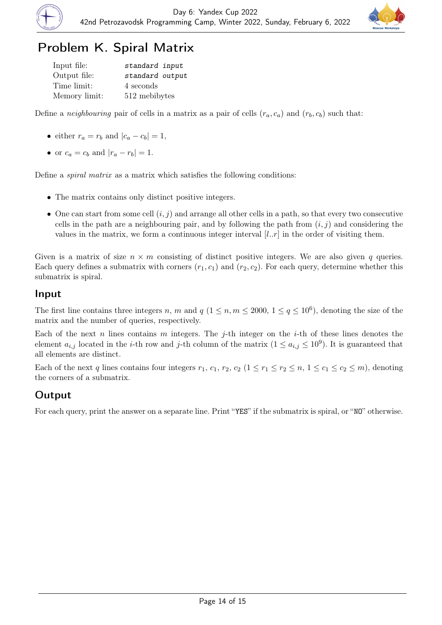



# Problem K. Spiral Matrix

| Input file:   | standard input  |
|---------------|-----------------|
| Output file:  | standard output |
| Time limit:   | 4 seconds       |
| Memory limit: | 512 mebibytes   |

Define a *neighbouring* pair of cells in a matrix as a pair of cells  $(r_a, c_a)$  and  $(r_b, c_b)$  such that:

- either  $r_a = r_b$  and  $|c_a c_b| = 1$ ,
- or  $c_a = c_b$  and  $|r_a r_b| = 1$ .

Define a spiral matrix as a matrix which satisfies the following conditions:

- The matrix contains only distinct positive integers.
- One can start from some cell  $(i, j)$  and arrange all other cells in a path, so that every two consecutive cells in the path are a neighbouring pair, and by following the path from  $(i, j)$  and considering the values in the matrix, we form a continuous integer interval  $[l..r]$  in the order of visiting them.

Given is a matrix of size  $n \times m$  consisting of distinct positive integers. We are also given q queries. Each query defines a submatrix with corners  $(r_1, c_1)$  and  $(r_2, c_2)$ . For each query, determine whether this submatrix is spiral.

#### Input

The first line contains three integers n, m and  $q$   $(1 \leq n, m \leq 2000, 1 \leq q \leq 10^6)$ , denoting the size of the matrix and the number of queries, respectively.

Each of the next n lines contains m integers. The j-th integer on the i-th of these lines denotes the element  $a_{i,j}$  located in the *i*-th row and *j*-th column of the matrix  $(1 \le a_{i,j} \le 10^9)$ . It is guaranteed that all elements are distinct.

Each of the next q lines contains four integers  $r_1, c_1, r_2, c_2$   $(1 \leq r_1 \leq r_2 \leq n, 1 \leq c_1 \leq c_2 \leq m)$ , denoting the corners of a submatrix.

### **Output**

For each query, print the answer on a separate line. Print "YES" if the submatrix is spiral, or "NO" otherwise.